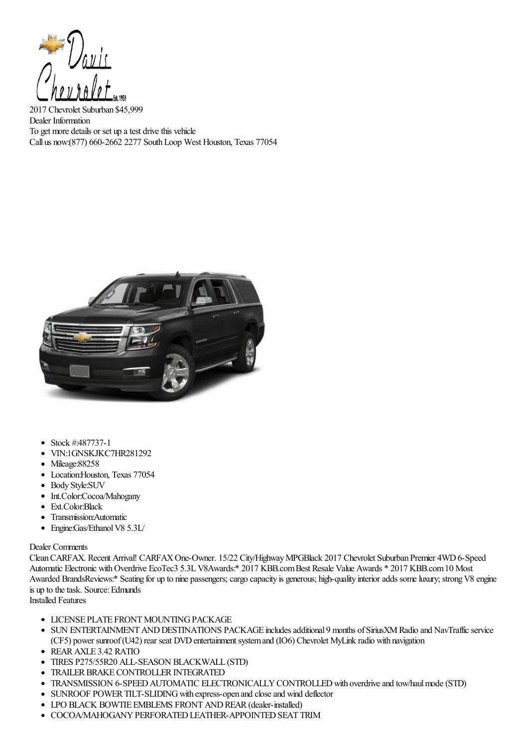

2017 Chevrolet Suburban \$45,999 Dealer Information To get more details or set up a test drive this vehicle Call us now:(877) 660-2662 2277 SouthLoop West Houston, Texas 77054



- Stock #:487737-1
- VIN:1GNSKJKC7HR281292
- Mileage:88258
- Location:Houston, Texas 77054
- Body Style:SUV
- Int.Color:Cocoa/Mahogany
- Ext.Color:Black
- Transmission:Automatic
- Engine:Gas/Ethanol V8 5.3L/

## Dealer Comments

Clean CARFAX. Recent Arrival! CARFAX One-Owner. 15/22 City/Highway MPGBlack 2017 Chevrolet Suburban Premier 4WD 6-Speed Automatic Electronic with Overdrive EcoTec3 5.3L V8Awards:\* 2017 KBB.com Best Resale Value Awards \* 2017 KBB.com 10 Most Awarded BrandsReviews:\* Seating for up to nine passengers; cargo capacity is generous; high-quality interior adds some luxury; strong V8 engine is up to the task. Source: Edmunds

Installed Features

- **LICENSE PLATE FRONT MOUNTING PACKAGE**
- SUN ENTERTAINMENT AND DESTINATIONS PACKAGE includes additional 9 months of SiriusXM Radio and NavTraffic service (CF5) power sunroof (U42) rear seat DVD entertainment system and (IO6) Chevrolet MyLink radio with navigation
- REARAXLE 3.42 RATIO
- TIRES P275/55R20 ALL-SEASON BLACKWALL (STD)
- TRAILER BRAKE CONTROLLER INTEGRATED
- TRANSMISSION 6-SPEED AUTOMATIC ELECTRONICALLY CONTROLLED with overdrive and tow/haul mode (STD)
- SUNROOF POWER TILT-SLIDING with express-open and close and wind deflector
- LPO BLACK BOWTIE EMBLEMS FRONT AND REAR (dealer-installed)
- **COCOA/MAHOGANY PERFORATED LEATHER-APPOINTED SEAT TRIM**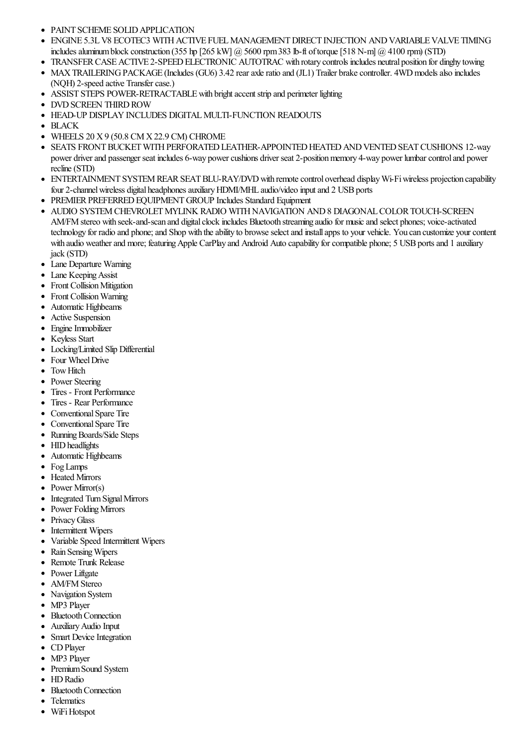- PAINT SCHEME SOLID APPLICATION
- ENGINE 5.3LV8 ECOTEC3 WITHACTIVE FUELMANAGEMENTDIRECT INJECTION ANDVARIABLEVALVE TIMING  $\bullet$ includes aluminum block construction (355 hp [265 kW]  $\omega$  5600 rpm 383 lb-ft of torque [518 N-m]  $\omega$  4100 rpm) (STD)
- TRANSFER CASE ACTIVE 2-SPEED ELECTRONIC AUTOTRAC with rotary controls includes neutral position for dinghy towing
- MAX TRAILERING PACKAGE (Includes (GU6) 3.42 rear axle ratio and (JL1) Trailer brake controller. 4WD models also includes (NQH) 2-speed active Transfer case.)
- ASSIST STEPS POWER-RETRACTABLE with bright accent strip and perimeter lighting  $\bullet$
- $\bullet$ DVD SCREEN THIRD ROW
- HEAD-UP DISPLAY INCLUDES DIGITAL MULTI-FUNCTION READOUTS
- BLACK
- WHEELS 20 X 9 (50.8 CM X 22.9 CM) CHROME
- SEATS FRONT BUCKET WITH PERFORATED LEATHER-APPOINTED HEATED AND VENTED SEAT CUSHIONS 12-way power driver and passenger seat includes 6-way power cushions driver seat 2-position memory 4-way power lumbar control and power recline(STD)
- ENTERTAINMENT SYSTEM REAR SEAT BLU-RAY/DVD with remote control overhead display Wi-Fi wireless projection capability four 2-channel wireless digital headphones auxiliary HDMI/MHL audio/video input and 2 USB ports
- PREMIER PREFERRED EQUIPMENT GROUP Includes Standard Equipment
- AUDIO SYSTEM CHEVROLET MYLINK RADIO WITH NAVIGATION AND 8 DIAGONAL COLOR TOUCH-SCREEN AM/FM stereo with seek-and-scan and digital clock includes Bluetooth streaming audio for music and select phones; voice-activated technology for radio and phone; and Shop with the ability to browse select and install apps to your vehicle. You can customize your content with audio weather and more; featuring Apple CarPlay and Android Auto capability for compatible phone; 5 USB ports and 1 auxiliary jack (STD)
- Lane Departure Warning
- Lane Keeping Assist
- Front Collision Mitigation
- Front Collision Warning
- Automatic Highbeams
- Active Suspension
- Engine Immobilizer
- Keyless Start
- Locking/Limited Slip Differential
- Four Wheel Drive
- Tow Hitch
- Power Steering
- Tires Front Performance
- Tires Rear Performance
- Conventional Spare Tire
- Conventional Spare Tire
- Running Boards/Side Steps
- HID headlights
- Automatic Highbeams
- Fog Lamps
- Heated Mirrors
- Power Mirror(s)
- Integrated Turn Signal Mirrors
- Power Folding Mirrors
- Privacy Glass
- Intermittent Wipers
- Variable Speed Intermittent Wipers
- Rain Sensing Wipers
- Remote Trunk Release  $\bullet$
- Power Liftgate
- AM/FM Stereo
- Navigation System
- MP3 Player
- Bluetooth Connection
- AuxiliaryAudio Input
- Smart Device Integration
- CD Player
- MP3 Player
- Premium Sound System
- HD Radio
- Bluetooth Connection
- Telematics
- WiFi Hotspot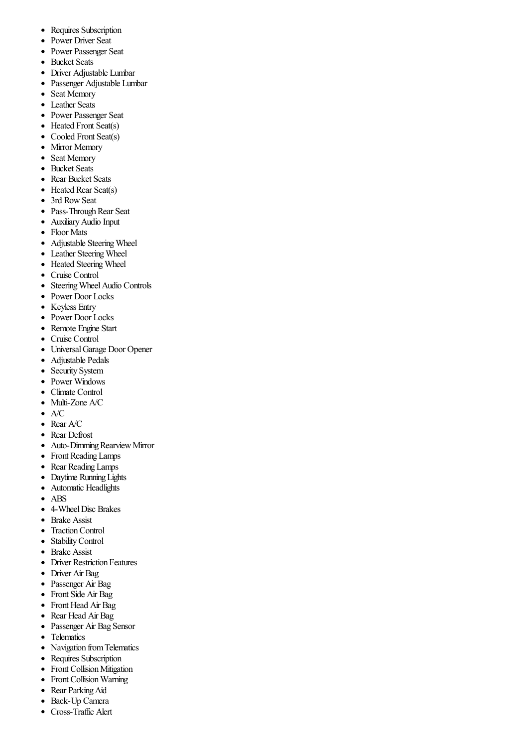- Requires Subscription  $\bullet$
- Power Driver Seat  $\bullet$
- $\bullet$ Power Passenger Seat
- $\bullet$ Bucket Seats
- Driver Adjustable Lumbar
- Passenger Adjustable Lumbar  $\bullet$
- Seat Memory  $\bullet$
- $\bullet$ Leather Seats
- $\bullet$ Power Passenger Seat
- $\bullet$ Heated Front Seat(s)
- Cooled Front Seat(s)  $\bullet$
- Mirror Memory  $\bullet$
- $\bullet$ Seat Memory
- $\bullet$ Bucket Seats
- Rear Bucket Seats  $\bullet$
- $\bullet$ Heated Rear Seat(s)
- 3rd RowSeat  $\bullet$
- Pass-Through Rear Seat  $\bullet$
- $\bullet$ AuxiliaryAudio Input
- Floor Mats  $\bullet$
- Adjustable SteeringWheel  $\bullet$
- $\bullet$ Leather SteeringWheel
- Heated Steering Wheel  $\bullet$
- $\bullet$ Cruise Control
- Steering Wheel Audio Controls  $\bullet$
- $\bullet$ Power Door Locks
- Keyless Entry
- Power Door Locks  $\bullet$
- $\bullet$ Remote Engine Start
- Cruise Control  $\bullet$
- UniversalGarage Door Opener  $\bullet$
- Adjustable Pedals  $\bullet$
- $\bullet$ Security System
- Power Windows  $\bullet$
- Climate Control  $\bullet$
- $\bullet$ Multi-Zone A/C
- A/C  $\bullet$
- $\bullet$  Rear A/C
- Rear Defrost
- Auto-Dimming Rearview Mirror  $\bullet$
- $\bullet$ Front Reading Lamps
- Rear ReadingLamps  $\bullet$
- Daytime Running Lights  $\bullet$
- Automatic Headlights  $\bullet$
- ABS  $\bullet$
- 4-Wheel Disc Brakes  $\bullet$
- Brake Assist  $\bullet$
- $\bullet$ TractionControl
- StabilityControl  $\bullet$
- Brake Assist  $\bullet$
- $\bullet$ Driver Restriction Features
- Driver Air Bag  $\bullet$
- Passenger Air Bag  $\bullet$
- Front Side Air Bag
- $\bullet$ Front Head Air Bag
- $\bullet$ Rear Head Air Bag
- Passenger Air Bag Sensor  $\bullet$
- $\bullet$ **Telematics**
- Navigation fromTelematics  $\bullet$
- Requires Subscription  $\bullet$
- Front Collision Mitigation  $\bullet$
- $\bullet$ Front Collision Warning
- $\bullet$ Rear Parking Aid
- Back-Up Camera  $\bullet$
- Cross-Traffic Alert $\bullet$